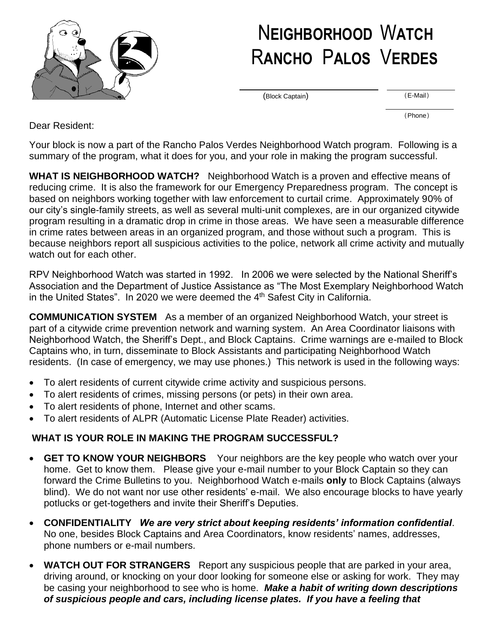

## N**EIGHBORHOOD** W**ATCH** R**ANCHO** P**ALOS** V**ERDES**

(Block Captain)

(E-Mail)

(Phone)

Dear Resident:

Your block is now a part of the Rancho Palos Verdes Neighborhood Watch program. Following is a summary of the program, what it does for you, and your role in making the program successful.

**WHAT IS NEIGHBORHOOD WATCH?** Neighborhood Watch is a proven and effective means of reducing crime. It is also the framework for our Emergency Preparedness program. The concept is based on neighbors working together with law enforcement to curtail crime. Approximately 90% of our city's single-family streets, as well as several multi-unit complexes, are in our organized citywide program resulting in a dramatic drop in crime in those areas. We have seen a measurable difference in crime rates between areas in an organized program, and those without such a program. This is because neighbors report all suspicious activities to the police, network all crime activity and mutually watch out for each other.

RPV Neighborhood Watch was started in 1992. In 2006 we were selected by the National Sheriff's Association and the Department of Justice Assistance as "The Most Exemplary Neighborhood Watch in the United States". In 2020 we were deemed the  $4<sup>th</sup>$  Safest City in California.

**COMMUNICATION SYSTEM** As a member of an organized Neighborhood Watch, your street is part of a citywide crime prevention network and warning system. An Area Coordinator liaisons with Neighborhood Watch, the Sheriff's Dept., and Block Captains. Crime warnings are e-mailed to Block Captains who, in turn, disseminate to Block Assistants and participating Neighborhood Watch residents. (In case of emergency, we may use phones.) This network is used in the following ways:

- To alert residents of current citywide crime activity and suspicious persons.
- To alert residents of crimes, missing persons (or pets) in their own area.
- To alert residents of phone, Internet and other scams.
- To alert residents of ALPR (Automatic License Plate Reader) activities.

## **WHAT IS YOUR ROLE IN MAKING THE PROGRAM SUCCESSFUL?**

- **GET TO KNOW YOUR NEIGHBORS** Your neighbors are the key people who watch over your home. Get to know them. Please give your e-mail number to your Block Captain so they can forward the Crime Bulletins to you. Neighborhood Watch e-mails **only** to Block Captains (always blind). We do not want nor use other residents' e-mail. We also encourage blocks to have yearly potlucks or get-togethers and invite their Sheriff's Deputies.
- **CONFIDENTIALITY** *We are very strict about keeping residents' information confidential*. No one, besides Block Captains and Area Coordinators, know residents' names, addresses, phone numbers or e-mail numbers.
- **WATCH OUT FOR STRANGERS** Report any suspicious people that are parked in your area, driving around, or knocking on your door looking for someone else or asking for work. They may be casing your neighborhood to see who is home. *Make a habit of writing down descriptions of suspicious people and cars, including license plates. If you have a feeling that*